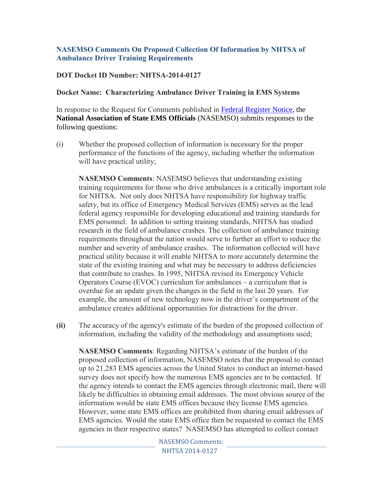## **NASEMSO Comments On Proposed Collection Of Information by NHTSA of Ambulance Driver Training Requirements**

## **DOT Docket ID Number: NHTSA-2014-0127**

## **Docket Name: Characterizing Ambulance Driver Training in EMS Systems**

In response to the Request for Comments published in [Federal Register Notice,](https://www.federalregister.gov/articles/2015/01/21/2015-00807/reports-forms-and-record-keeping-requirements) the **National Association of State EMS Officials** (NASEMSO) submits responses to the following questions:

(i) Whether the proposed collection of information is necessary for the proper performance of the functions of the agency, including whether the information will have practical utility;

**NASEMSO Comments**: NASEMSO believes that understanding existing training requirements for those who drive ambulances is a critically important role for NHTSA. Not only does NHTSA have responsibility for highway traffic safety, but its office of Emergency Medical Services (EMS) serves as the lead federal agency responsible for developing educational and training standards for EMS personnel. In addition to setting training standards, NHTSA has studied research in the field of ambulance crashes. The collection of ambulance training requirements throughout the nation would serve to further an effort to reduce the number and severity of ambulance crashes. The information collected will have practical utility because it will enable NHTSA to more accurately determine the state of the existing training and what may be necessary to address deficiencies that contribute to crashes. In 1995, NHTSA revised its Emergency Vehicle Operators Course (EVOC) curriculum for ambulances – a curriculum that is overdue for an update given the changes in the field in the last 20 years. For example, the amount of new technology now in the driver's compartment of the ambulance creates additional opportunities for distractions for the driver.

**(ii)** The accuracy of the agency's estimate of the burden of the proposed collection of information, including the validity of the methodology and assumptions used;

**NASEMSO Comments**: Regarding NHTSA's estimate of the burden of the proposed collection of information, NASEMSO notes that the proposal to contact up to 21,283 EMS agencies across the United States to conduct an internet-based survey does not specify how the numerous EMS agencies are to be contacted. If the agency intends to contact the EMS agencies through electronic mail, there will likely be difficulties in obtaining email addresses. The most obvious source of the information would be state EMS offices because they license EMS agencies. However, some state EMS offices are prohibited from sharing email addresses of EMS agencies. Would the state EMS office then be requested to contact the EMS agencies in their respective states? NASEMSO has attempted to collect contact

> NASEMSO Comments: NHTSA 2014-0127